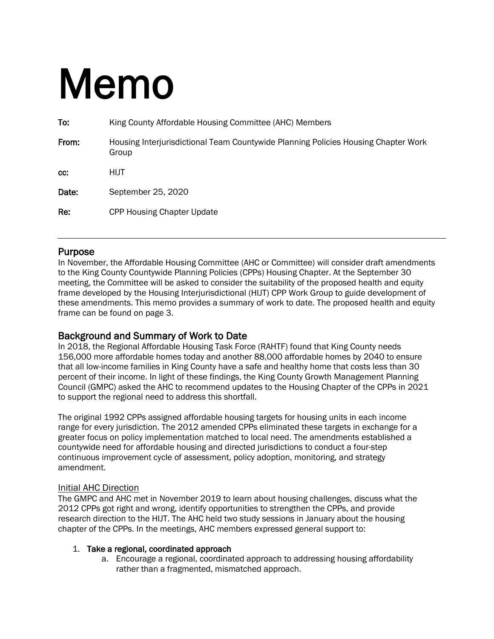# Memo

| To:   | King County Affordable Housing Committee (AHC) Members                                      |
|-------|---------------------------------------------------------------------------------------------|
| From: | Housing Interjurisdictional Team Countywide Planning Policies Housing Chapter Work<br>Group |
| CC.   | <b>HIJT</b>                                                                                 |
| Date: | September 25, 2020                                                                          |
| Re:   | <b>CPP Housing Chapter Update</b>                                                           |

**Purpose**<br>In November, the Affordable Housing Committee (AHC or Committee) will consider draft amendments to the King County Countywide Planning Policies (CPPs) Housing Chapter. At the September 30 meeting, the Committee will be asked to consider the suitability of the proposed health and equity frame developed by the Housing Interjurisdictional (HIJT) CPP Work Group to guide development of these amendments. This memo provides a summary of work to date. The proposed health and equity frame can be found on page 3.

## Background and Summary of Work to Date

In 2018, the Regional Affordable Housing Task Force (RAHTF) found that King County needs 156,000 more affordable homes today and another 88,000 affordable homes by 2040 to ensure that all low-income families in King County have a safe and healthy home that costs less than 30 percent of their income. In light of these findings, the King County Growth Management Planning Council (GMPC) asked the AHC to recommend updates to the Housing Chapter of the CPPs in 2021 to support the regional need to address this shortfall.

The original 1992 CPPs assigned affordable housing targets for housing units in each income range for every jurisdiction. The 2012 amended CPPs eliminated these targets in exchange for a greater focus on policy implementation matched to local need. The amendments established a countywide need for affordable housing and directed jurisdictions to conduct a four-step continuous improvement cycle of assessment, policy adoption, monitoring, and strategy amendment.

#### Initial AHC Direction

The GMPC and AHC met in November 2019 to learn about housing challenges, discuss what the 2012 CPPs got right and wrong, identify opportunities to strengthen the CPPs, and provide research direction to the HIJT. The AHC held two study sessions in January about the housing chapter of the CPPs. In the meetings, AHC members expressed general support to:

#### 1. Take a regional, coordinated approach

a. Encourage a regional, coordinated approach to addressing housing affordability rather than a fragmented, mismatched approach.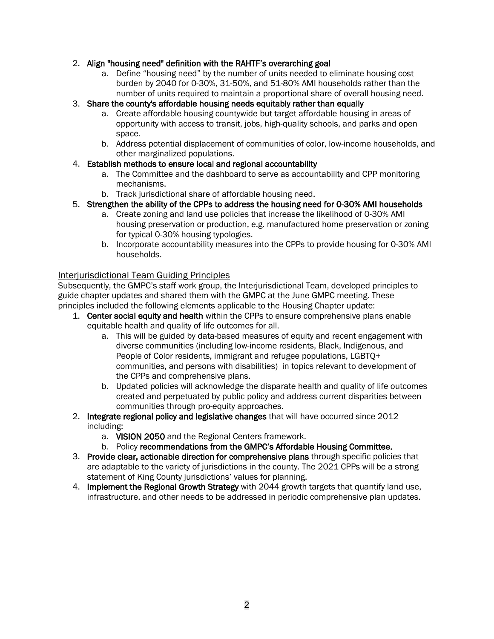### 2. Align "housing need" definition with the RAHTF's overarching goal

a. Define "housing need" by the number of units needed to eliminate housing cost burden by 2040 for 0-30%, 31-50%, and 51-80% AMI households rather than the number of units required to maintain a proportional share of overall housing need.

#### 3. Share the county's affordable housing needs equitably rather than equally

- a. Create affordable housing countywide but target affordable housing in areas of opportunity with access to transit, jobs, high-quality schools, and parks and open space.
- b. Address potential displacement of communities of color, low-income households, and other marginalized populations.

#### 4. Establish methods to ensure local and regional accountability

- a. The Committee and the dashboard to serve as accountability and CPP monitoring mechanisms.
- b. Track jurisdictional share of affordable housing need.
- 5. Strengthen the ability of the CPPs to address the housing need for 0-30% AMI households
	- a. Create zoning and land use policies that increase the likelihood of 0-30% AMI housing preservation or production, e.g. manufactured home preservation or zoning for typical 0-30% housing typologies.
	- b. Incorporate accountability measures into the CPPs to provide housing for 0-30% AMI households.

#### Interjurisdictional Team Guiding Principles

Subsequently, the GMPC's staff work group, the Interjurisdictional Team, developed principles to guide chapter updates and shared them with the GMPC at the June GMPC meeting. These principles included the following elements applicable to the Housing Chapter update:

- 1. Center social equity and health within the CPPs to ensure comprehensive plans enable equitable health and quality of life outcomes for all.
	- a. This will be guided by data-based measures of equity and recent engagement with diverse communities (including low-income residents, Black, Indigenous, and People of Color residents, immigrant and refugee populations, LGBTQ+ communities, and persons with disabilities) in topics relevant to development of the CPPs and comprehensive plans.
	- b. Updated policies will acknowledge the disparate health and quality of life outcomes created and perpetuated by public policy and address current disparities between communities through pro-equity approaches.
- 2. Integrate regional policy and legislative changes that will have occurred since 2012 including:
	- a. VISION 2050 and the Regional Centers framework.
	- b. Policy recommendations from the GMPC's Affordable Housing Committee.
- 3. Provide clear, actionable direction for comprehensive plans through specific policies that are adaptable to the variety of jurisdictions in the county. The 2021 CPPs will be a strong statement of King County jurisdictions' values for planning.
- 4. Implement the Regional Growth Strategy with 2044 growth targets that quantify land use, infrastructure, and other needs to be addressed in periodic comprehensive plan updates.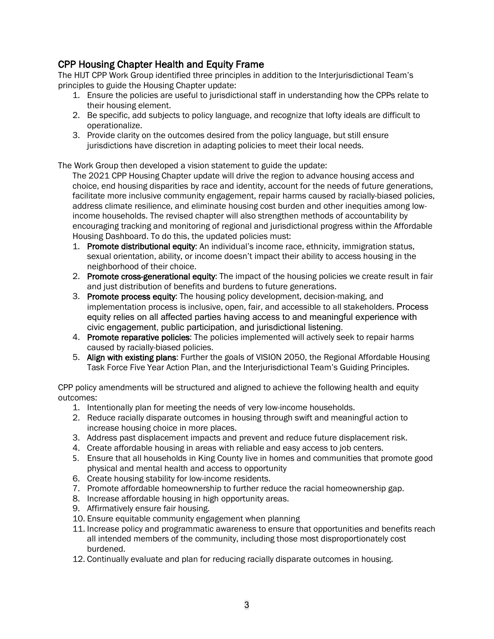## CPP Housing Chapter Health and Equity Frame

The HIJT CPP Work Group identified three principles in addition to the Interjurisdictional Team's principles to guide the Housing Chapter update:

- 1. Ensure the policies are useful to jurisdictional staff in understanding how the CPPs relate to their housing element.
- 2. Be specific, add subjects to policy language, and recognize that lofty ideals are difficult to operationalize.
- 3. Provide clarity on the outcomes desired from the policy language, but still ensure jurisdictions have discretion in adapting policies to meet their local needs.

The Work Group then developed a vision statement to guide the update:

The 2021 CPP Housing Chapter update will drive the region to advance housing access and choice, end housing disparities by race and identity, account for the needs of future generations, facilitate more inclusive community engagement, repair harms caused by racially-biased policies, address climate resilience, and eliminate housing cost burden and other inequities among lowincome households. The revised chapter will also strengthen methods of accountability by encouraging tracking and monitoring of regional and jurisdictional progress within the Affordable Housing Dashboard. To do this, the updated policies must:

- 1. Promote distributional equity: An individual's income race, ethnicity, immigration status, sexual orientation, ability, or income doesn't impact their ability to access housing in the neighborhood of their choice.
- 2. Promote cross-generational equity: The impact of the housing policies we create result in fair and just distribution of benefits and burdens to future generations.
- 3. Promote process equity: The housing policy development, decision-making, and implementation process is inclusive, open, fair, and accessible to all stakeholders. Process equity relies on all affected parties having access to and meaningful experience with civic engagement, public participation, and jurisdictional listening.
- 4. Promote reparative policies: The policies implemented will actively seek to repair harms caused by racially-biased policies.
- 5. Align with existing plans: Further the goals of VISION 2050, the Regional Affordable Housing Task Force Five Year Action Plan, and the Interjurisdictional Team's Guiding Principles.

CPP policy amendments will be structured and aligned to achieve the following health and equity outcomes:

- 1. Intentionally plan for meeting the needs of very low-income households.
- 2. Reduce racially disparate outcomes in housing through swift and meaningful action to increase housing choice in more places.
- 3. Address past displacement impacts and prevent and reduce future displacement risk.
- 4. Create affordable housing in areas with reliable and easy access to job centers.
- 5. Ensure that all households in King County live in homes and communities that promote good physical and mental health and access to opportunity
- 6. Create housing stability for low-income residents.
- 7. Promote affordable homeownership to further reduce the racial homeownership gap.
- 8. Increase affordable housing in high opportunity areas.
- 9. Affirmatively ensure fair housing.
- 10. Ensure equitable community engagement when planning
- 11. Increase policy and programmatic awareness to ensure that opportunities and benefits reach all intended members of the community, including those most disproportionately cost burdened.
- 12. Continually evaluate and plan for reducing racially disparate outcomes in housing.